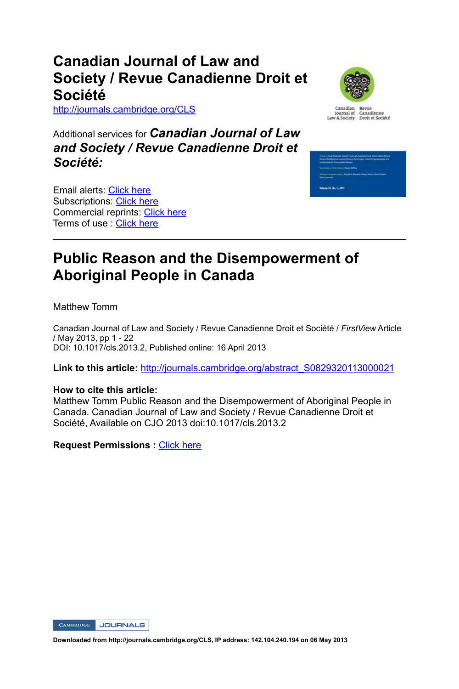## **Canadian Journal of Law and Society / Revue Canadienne Droit et Société**

http://journals.cambridge.org/CLS

Additional services for *Canadian Journal of Law and Society / Revue Canadienne Droit et Société:*

Email alerts: Click here Subscriptions: Click here Commercial reprints: Click here Terms of use : Click here

Cana Canadian Revue<br>Journal of Canadienne<br>Law & Society Droit et Société

# **Public Reason and the Disempowerment of Aboriginal People in Canada**

Matthew Tomm

Canadian Journal of Law and Society / Revue Canadienne Droit et Société / *FirstView* Article / May 2013, pp 1 - 22 DOI: 10.1017/cls.2013.2, Published online: 16 April 2013

**Link to this article:** http://journals.cambridge.org/abstract\_S0829320113000021

#### **How to cite this article:**

Matthew Tomm Public Reason and the Disempowerment of Aboriginal People in Canada. Canadian Journal of Law and Society / Revue Canadienne Droit et Société, Available on CJO 2013 doi:10.1017/cls.2013.2

**Request Permissions :** Click here

CAMBRIDGE JOURNALS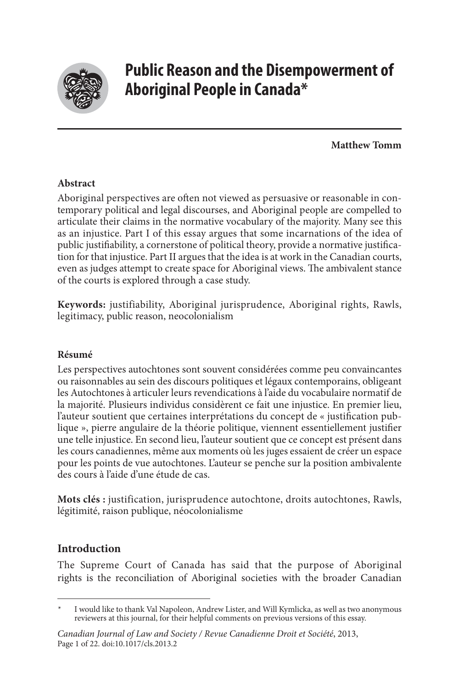

# **Public Reason and the Disempowerment of Aboriginal People in Canada \***

## **Matthew Tomm**

## **Abstract**

Aboriginal perspectives are often not viewed as persuasive or reasonable in contemporary political and legal discourses, and Aboriginal people are compelled to articulate their claims in the normative vocabulary of the majority. Many see this as an injustice. Part I of this essay argues that some incarnations of the idea of public justifiability, a cornerstone of political theory, provide a normative justification for that injustice. Part II argues that the idea is at work in the Canadian courts, even as judges attempt to create space for Aboriginal views. The ambivalent stance of the courts is explored through a case study.

Keywords: justifiability, Aboriginal jurisprudence, Aboriginal rights, Rawls, legitimacy, public reason, neocolonialism

## **Résumé**

 Les perspectives autochtones sont souvent considérées comme peu convaincantes ou raisonnables au sein des discours politiques et légaux contemporains, obligeant les Autochtones à articuler leurs revendications à l'aide du vocabulaire normatif de la majorité. Plusieurs individus considèrent ce fait une injustice. En premier lieu, l'auteur soutient que certaines interprétations du concept de « justification publique », pierre angulaire de la théorie politique, viennent essentiellement justifier une telle injustice. En second lieu, l'auteur soutient que ce concept est présent dans les cours canadiennes, même aux moments où les juges essaient de créer un espace pour les points de vue autochtones. L'auteur se penche sur la position ambivalente des cours à l'aide d'une étude de cas.

Mots clés : justification, jurisprudence autochtone, droits autochtones, Rawls, légitimité, raison publique, néocolonialisme

## **Introduction**

 The Supreme Court of Canada has said that the purpose of Aboriginal rights is the reconciliation of Aboriginal societies with the broader Canadian

 <sup>\*</sup> I would like to thank Val Napoleon, Andrew Lister, and Will Kymlicka, as well as two anonymous reviewers at this journal, for their helpful comments on previous versions of this essay.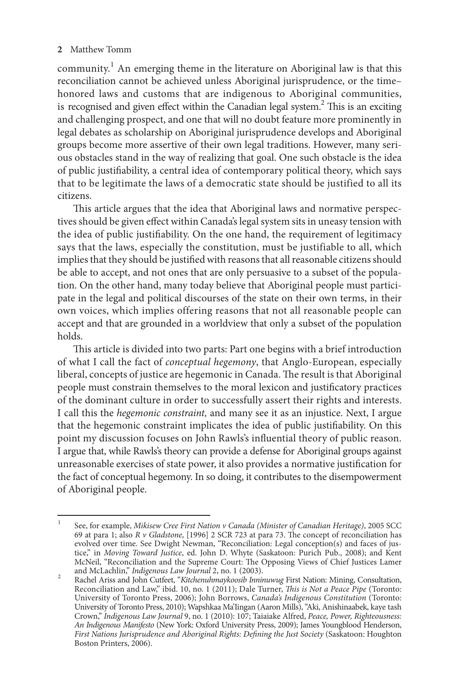community.<sup>1</sup> An emerging theme in the literature on Aboriginal law is that this reconciliation cannot be achieved unless Aboriginal jurisprudence, or the time– honored laws and customs that are indigenous to Aboriginal communities, is recognised and given effect within the Canadian legal system.<sup>2</sup> This is an exciting and challenging prospect, and one that will no doubt feature more prominently in legal debates as scholarship on Aboriginal jurisprudence develops and Aboriginal groups become more assertive of their own legal traditions. However, many serious obstacles stand in the way of realizing that goal. One such obstacle is the idea of public justifiability, a central idea of contemporary political theory, which says that to be legitimate the laws of a democratic state should be justified to all its citizens.

This article argues that the idea that Aboriginal laws and normative perspectives should be given effect within Canada's legal system sits in uneasy tension with the idea of public justifiability. On the one hand, the requirement of legitimacy says that the laws, especially the constitution, must be justifiable to all, which implies that they should be justified with reasons that all reasonable citizens should be able to accept, and not ones that are only persuasive to a subset of the population. On the other hand, many today believe that Aboriginal people must participate in the legal and political discourses of the state on their own terms, in their own voices, which implies offering reasons that not all reasonable people can accept and that are grounded in a worldview that only a subset of the population holds.

This article is divided into two parts: Part one begins with a brief introduction of what I call the fact of *conceptual hegemony* , that Anglo-European, especially liberal, concepts of justice are hegemonic in Canada. The result is that Aboriginal people must constrain themselves to the moral lexicon and justificatory practices of the dominant culture in order to successfully assert their rights and interests. I call this the *hegemonic constraint,* and many see it as an injustice. Next, I argue that the hegemonic constraint implicates the idea of public justifiability. On this point my discussion focuses on John Rawls's influential theory of public reason. I argue that, while Rawls's theory can provide a defense for Aboriginal groups against unreasonable exercises of state power, it also provides a normative justification for the fact of conceptual hegemony. In so doing, it contributes to the disempowerment of Aboriginal people.

 1 See, for example, *Mikisew Cree First Nation v Canada (Minister of Canadian Heritage)* , 2005 SCC 69 at para 1; also *R v Gladstone*, [1996] 2 SCR 723 at para 73. The concept of reconciliation has evolved over time. See Dwight Newman, "Reconciliation: Legal conception(s) and faces of justice," in *Moving Toward Justice* , ed. John D. Whyte (Saskatoon: Purich Pub., 2008); and Kent McNeil, "Reconciliation and the Supreme Court: The Opposing Views of Chief Justices Lamer and McLachlin," *Indigenous Law Journal* 2, no. 1 (2003).

 2 Rachel Ariss and John Cutfeet, " *Kitchenuhmaykoosib Inninuwug* First Nation: Mining, Consultation, Reconciliation and Law," ibid. 10, no. 1 (2011); Dale Turner, *This is Not a Peace Pipe* (Toronto: University of Toronto Press, 2006); John Borrows, *Canada's Indigenous Constitution* (Toronto: University of Toronto Press, 2010); Wapshkaa Ma'Iingan (Aaron Mills), "Aki, Anishinaabek, kaye tash Crown," *Indigenous Law Journal* 9, no. 1 (2010): 107; Taiaiake Alfred, *Peace, Power, Righteousness: An Indigenous Manifesto* (New York: Oxford University Press, 2009); James Youngblood Henderson, First Nations Jurisprudence and Aboriginal Rights: Defining the Just Society (Saskatoon: Houghton Boston Printers, 2006).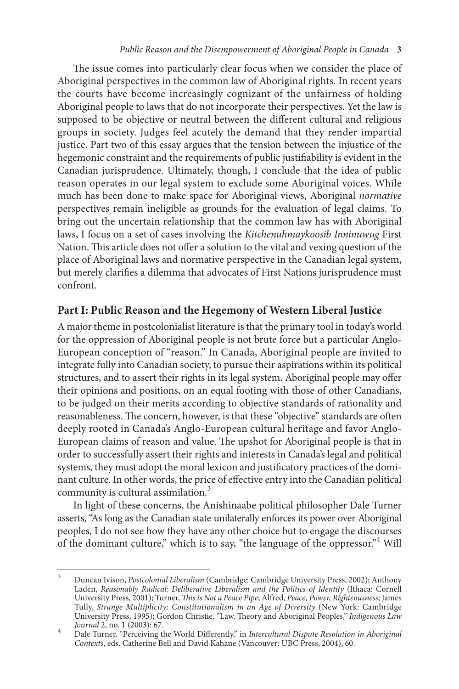The issue comes into particularly clear focus when we consider the place of Aboriginal perspectives in the common law of Aboriginal rights. In recent years the courts have become increasingly cognizant of the unfairness of holding Aboriginal people to laws that do not incorporate their perspectives. Yet the law is supposed to be objective or neutral between the different cultural and religious groups in society. Judges feel acutely the demand that they render impartial justice. Part two of this essay argues that the tension between the injustice of the hegemonic constraint and the requirements of public justifiability is evident in the Canadian jurisprudence. Ultimately, though, I conclude that the idea of public reason operates in our legal system to exclude some Aboriginal voices. While much has been done to make space for Aboriginal views, Aboriginal *normative* perspectives remain ineligible as grounds for the evaluation of legal claims. To bring out the uncertain relationship that the common law has with Aboriginal laws, I focus on a set of cases involving the *Kitchenuhmaykoosib Inninuwug* First Nation. This article does not offer a solution to the vital and vexing question of the place of Aboriginal laws and normative perspective in the Canadian legal system, but merely clarifies a dilemma that advocates of First Nations jurisprudence must confront.

## **Part I: Public Reason and the Hegemony of Western Liberal Justice**

 A major theme in postcolonialist literature is that the primary tool in today's world for the oppression of Aboriginal people is not brute force but a particular Anglo-European conception of "reason." In Canada, Aboriginal people are invited to integrate fully into Canadian society, to pursue their aspirations within its political structures, and to assert their rights in its legal system. Aboriginal people may offer their opinions and positions, on an equal footing with those of other Canadians, to be judged on their merits according to objective standards of rationality and reasonableness. The concern, however, is that these "objective" standards are often deeply rooted in Canada's Anglo-European cultural heritage and favor Anglo-European claims of reason and value. The upshot for Aboriginal people is that in order to successfully assert their rights and interests in Canada's legal and political systems, they must adopt the moral lexicon and justificatory practices of the dominant culture. In other words, the price of effective entry into the Canadian political community is cultural assimilation.<sup>3</sup>

 In light of these concerns, the Anishinaabe political philosopher Dale Turner asserts, "As long as the Canadian state unilaterally enforces its power over Aboriginal peoples, I do not see how they have any other choice but to engage the discourses of the dominant culture," which is to say, "the language of the oppressor." Will

 3 Duncan Ivison, *Postcolonial Liberalism* (Cambridge: Cambridge University Press, 2002); Anthony Laden, *Reasonably Radical: Deliberative Liberalism and the Politics of Identity* (Ithaca: Cornell University Press, 2001); Turner, *This is Not a Peace Pipe*; Alfred, Peace, Power, Righteousness; James Tully, *Strange Multiplicity: Constitutionalism in an Age of Diversity* (New York: Cambridge University Press, 1995); Gordon Christie, "Law, Theory and Aboriginal Peoples," *Indigenous Law Journal* 2, no. 1 (2003): 67.

 4 Dale Turner, "Perceiving the World Differently," in *Intercultural Dispute Resolution in Aboriginal Contexts* , eds. Catherine Bell and David Kahane (Vancouver: UBC Press, 2004), 60.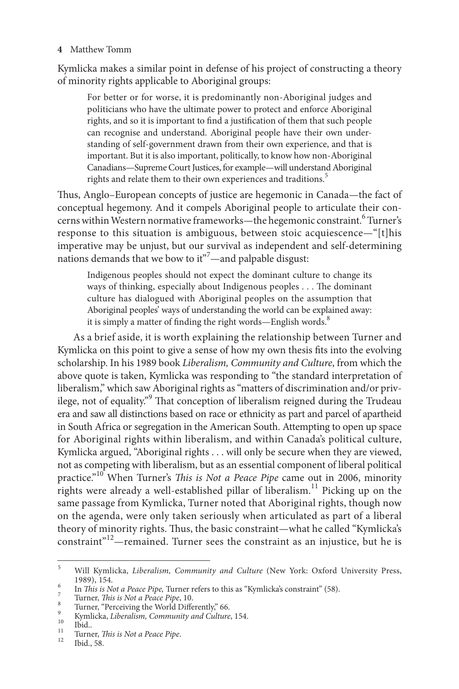Kymlicka makes a similar point in defense of his project of constructing a theory of minority rights applicable to Aboriginal groups:

 For better or for worse, it is predominantly non-Aboriginal judges and politicians who have the ultimate power to protect and enforce Aboriginal rights, and so it is important to find a justification of them that such people can recognise and understand. Aboriginal people have their own understanding of self-government drawn from their own experience, and that is important. But it is also important, politically, to know how non-Aboriginal Canadians—Supreme Court Justices, for example—will understand Aboriginal rights and relate them to their own experiences and traditions.<sup>5</sup>

Thus, Anglo–European concepts of justice are hegemonic in Canada—the fact of conceptual hegemony. And it compels Aboriginal people to articulate their concerns within Western normative frameworks—the hegemonic constraint.<sup>6</sup> Turner's response to this situation is ambiguous, between stoic acquiescence—"[t]his imperative may be unjust, but our survival as independent and self-determining nations demands that we bow to it"<sup>7</sup> —and palpable disgust:

 Indigenous peoples should not expect the dominant culture to change its ways of thinking, especially about Indigenous peoples . . . The dominant culture has dialogued with Aboriginal peoples on the assumption that Aboriginal peoples' ways of understanding the world can be explained away: it is simply a matter of finding the right words—English words.<sup>8</sup>

 As a brief aside, it is worth explaining the relationship between Turner and Kymlicka on this point to give a sense of how my own thesis fits into the evolving scholarship. In his 1989 book *Liberalism, Community and Culture* , from which the above quote is taken, Kymlicka was responding to "the standard interpretation of liberalism," which saw Aboriginal rights as "matters of discrimination and/or privilege, not of equality.<sup>"9</sup> That conception of liberalism reigned during the Trudeau era and saw all distinctions based on race or ethnicity as part and parcel of apartheid in South Africa or segregation in the American South. Attempting to open up space for Aboriginal rights within liberalism, and within Canada's political culture, Kymlicka argued, "Aboriginal rights . . . will only be secure when they are viewed, not as competing with liberalism, but as an essential component of liberal political practice.<sup>"10</sup> When Turner's *This is Not a Peace Pipe* came out in 2006, minority rights were already a well-established pillar of liberalism.<sup>11</sup> Picking up on the same passage from Kymlicka, Turner noted that Aboriginal rights, though now on the agenda, were only taken seriously when articulated as part of a liberal theory of minority rights. Thus, the basic constraint—what he called "Kymlicka's  $\arctan x^{n+12}$  -remained. Turner sees the constraint as an injustice, but he is

 5 Will Kymlicka, *Liberalism, Community and Culture* (New York: Oxford University Press, 1989), 154. 6

o<br>7 In *This is Not a Peace Pipe*, Turner refers to this as "Kymlicka's constraint" (58).

 $\frac{7}{8}$ Turner, *This is Not a Peace Pipe*, 10.

ه<br>9 Turner, "Perceiving the World Differently," 66.

 $10<sup>-10</sup>$ Kymlicka, *Liberalism*, *Community and Culture*, 154.

Ibid..

Turner, *This is Not a Peace Pipe*.

 $12$ Ibid., 58.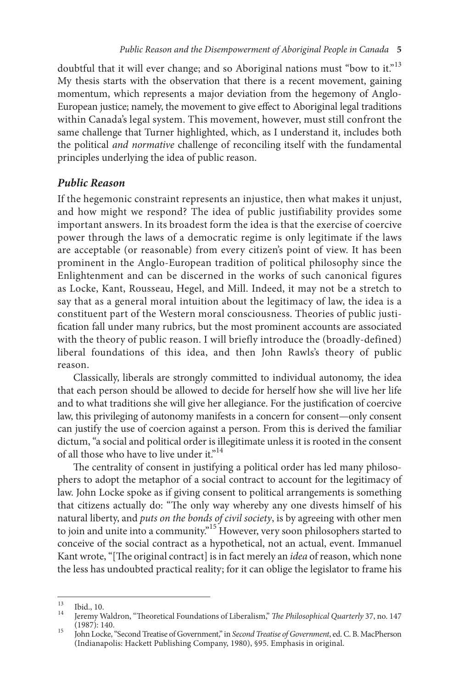doubtful that it will ever change; and so Aboriginal nations must "bow to it."<sup>13</sup> My thesis starts with the observation that there is a recent movement, gaining momentum, which represents a major deviation from the hegemony of Anglo-European justice; namely, the movement to give effect to Aboriginal legal traditions within Canada's legal system. This movement, however, must still confront the same challenge that Turner highlighted, which, as I understand it, includes both the political *and normative* challenge of reconciling itself with the fundamental principles underlying the idea of public reason.

### *Public Reason*

 If the hegemonic constraint represents an injustice, then what makes it unjust, and how might we respond? The idea of public justifiability provides some important answers. In its broadest form the idea is that the exercise of coercive power through the laws of a democratic regime is only legitimate if the laws are acceptable (or reasonable) from every citizen's point of view. It has been prominent in the Anglo-European tradition of political philosophy since the Enlightenment and can be discerned in the works of such canonical figures as Locke, Kant, Rousseau, Hegel, and Mill. Indeed, it may not be a stretch to say that as a general moral intuition about the legitimacy of law, the idea is a constituent part of the Western moral consciousness. Theories of public justification fall under many rubrics, but the most prominent accounts are associated with the theory of public reason. I will briefly introduce the (broadly-defined) liberal foundations of this idea, and then John Rawls's theory of public reason.

 Classically, liberals are strongly committed to individual autonomy, the idea that each person should be allowed to decide for herself how she will live her life and to what traditions she will give her allegiance. For the justification of coercive law, this privileging of autonomy manifests in a concern for consent—only consent can justify the use of coercion against a person. From this is derived the familiar dictum, "a social and political order is illegitimate unless it is rooted in the consent of all those who have to live under it."<sup>14</sup>

The centrality of consent in justifying a political order has led many philosophers to adopt the metaphor of a social contract to account for the legitimacy of law. John Locke spoke as if giving consent to political arrangements is something that citizens actually do: "The only way whereby any one divests himself of his natural liberty, and *puts on the bonds of civil society* , is by agreeing with other men to join and unite into a community.<sup>"15</sup> However, very soon philosophers started to conceive of the social contract as a hypothetical, not an actual, event. Immanuel Kant wrote, "[The original contract] is in fact merely an *idea* of reason, which none the less has undoubted practical reality; for it can oblige the legislator to frame his

<sup>13</sup> Ibid., 10.

Jeremy Waldron, "Theoretical Foundations of Liberalism," *The Philosophical Quarterly* 37, no. 147 (1987): 140. 15

<sup>15</sup> John Locke, "Second Treatise of Government," in *Second Treatise of Government* , ed. C. B. MacPherson (Indianapolis: Hackett Publishing Company, 1980), §95. Emphasis in original.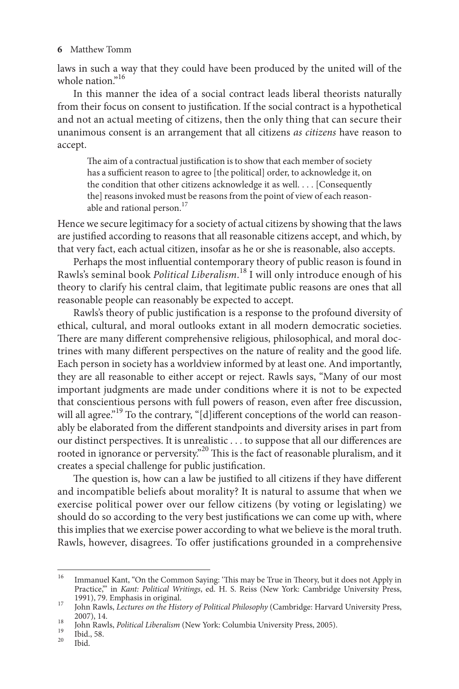laws in such a way that they could have been produced by the united will of the whole nation."<sup>16</sup>

 In this manner the idea of a social contract leads liberal theorists naturally from their focus on consent to justification. If the social contract is a hypothetical and not an actual meeting of citizens, then the only thing that can secure their unanimous consent is an arrangement that all citizens *as citizens* have reason to accept.

The aim of a contractual justification is to show that each member of society has a sufficient reason to agree to [the political] order, to acknowledge it, on the condition that other citizens acknowledge it as well. . . . [Consequently the] reasons invoked must be reasons from the point of view of each reasonable and rational person.<sup>17</sup>

 Hence we secure legitimacy for a society of actual citizens by showing that the laws are justified according to reasons that all reasonable citizens accept, and which, by that very fact, each actual citizen, insofar as he or she is reasonable, also accepts.

Perhaps the most influential contemporary theory of public reason is found in Rawls's seminal book *Political Liberalism*.<sup>18</sup> I will only introduce enough of his theory to clarify his central claim, that legitimate public reasons are ones that all reasonable people can reasonably be expected to accept.

Rawls's theory of public justification is a response to the profound diversity of ethical, cultural, and moral outlooks extant in all modern democratic societies. There are many different comprehensive religious, philosophical, and moral doctrines with many different perspectives on the nature of reality and the good life. Each person in society has a worldview informed by at least one. And importantly, they are all reasonable to either accept or reject. Rawls says, "Many of our most important judgments are made under conditions where it is not to be expected that conscientious persons with full powers of reason, even after free discussion, will all agree."<sup>19</sup> To the contrary, "[d]ifferent conceptions of the world can reasonably be elaborated from the different standpoints and diversity arises in part from our distinct perspectives. It is unrealistic . . . to suppose that all our differences are rooted in ignorance or perversity."<sup>20</sup> This is the fact of reasonable pluralism, and it creates a special challenge for public justification.

The question is, how can a law be justified to all citizens if they have different and incompatible beliefs about morality? It is natural to assume that when we exercise political power over our fellow citizens (by voting or legislating) we should do so according to the very best justifications we can come up with, where this implies that we exercise power according to what we believe is the moral truth. Rawls, however, disagrees. To offer justifications grounded in a comprehensive

 $16\,$ Immanuel Kant, "On the Common Saying: 'This may be True in Theory, but it does not Apply in Practice,'" in *Kant: Political Writings* , ed. H. S. Reiss (New York: Cambridge University Press, 1991), 79. Emphasis in original.

<sup>17</sup> 17 John Rawls, *Lectures on the History of Political Philosophy* (Cambridge: Harvard University Press, 2007), 14.

<sup>18&</sup>lt;br>19 18 John Rawls, *Political Liberalism* (New York: Columbia University Press, 2005).

Ibid., 58.

í Ibid.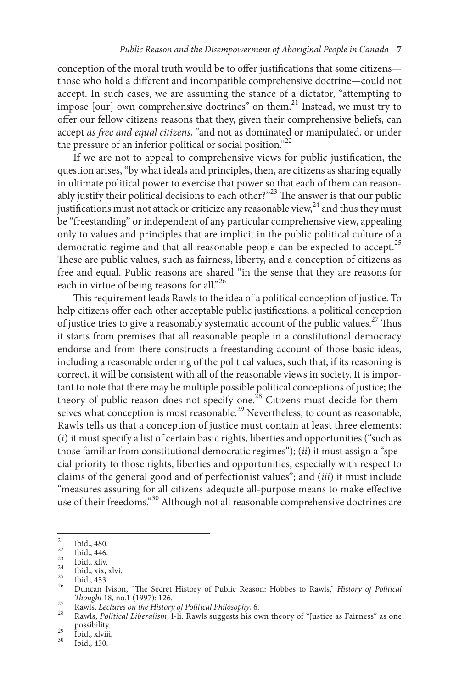conception of the moral truth would be to offer justifications that some citizens those who hold a different and incompatible comprehensive doctrine-could not accept. In such cases, we are assuming the stance of a dictator, "attempting to impose [our] own comprehensive doctrines" on them.<sup>21</sup> Instead, we must try to offer our fellow citizens reasons that they, given their comprehensive beliefs, can accept *as free and equal citizens* , "and not as dominated or manipulated, or under the pressure of an inferior political or social position."<sup>22</sup>

If we are not to appeal to comprehensive views for public justification, the question arises, "by what ideals and principles, then, are citizens as sharing equally in ultimate political power to exercise that power so that each of them can reasonably justify their political decisions to each other?"<sup>23</sup> The answer is that our public justifications must not attack or criticize any reasonable view, $^{24}$  and thus they must be "freestanding" or independent of any particular comprehensive view, appealing only to values and principles that are implicit in the public political culture of a democratic regime and that all reasonable people can be expected to accept.<sup>25</sup> These are public values, such as fairness, liberty, and a conception of citizens as free and equal. Public reasons are shared "in the sense that they are reasons for each in virtue of being reasons for all. $^{26}$ 

This requirement leads Rawls to the idea of a political conception of justice. To help citizens offer each other acceptable public justifications, a political conception of justice tries to give a reasonably systematic account of the public values.<sup>27</sup> Thus it starts from premises that all reasonable people in a constitutional democracy endorse and from there constructs a freestanding account of those basic ideas, including a reasonable ordering of the political values, such that, if its reasoning is correct, it will be consistent with all of the reasonable views in society. It is important to note that there may be multiple possible political conceptions of justice; the theory of public reason does not specify one.<sup>28</sup> Citizens must decide for themselves what conception is most reasonable. 29 Nevertheless, to count as reasonable, Rawls tells us that a conception of justice must contain at least three elements: (*i*) it must specify a list of certain basic rights, liberties and opportunities ("such as those familiar from constitutional democratic regimes"); ( *ii* ) it must assign a "special priority to those rights, liberties and opportunities, especially with respect to claims of the general good and of perfectionist values"; and (*iii*) it must include "measures assuring for all citizens adequate all-purpose means to make effective use of their freedoms."<sup>30</sup> Although not all reasonable comprehensive doctrines are

 $\frac{21}{22}$ Ibid., 480.

 $23$ Ibid., 446.

<sup>24</sup> Ibid., xliv.

 $25 -$ Ibid., xix, xlvi.

 $\ddot{\phantom{0}}$ Ibid., 453.

í Duncan Ivison, "The Secret History of Public Reason: Hobbes to Rawls," *History of Political Th ought* 18, no.1 (1997): 126.

 $\ddot{\phantom{0}}$ 27 Rawls, *Lectures on the History of Political Philosophy* , 6.

í Rawls, *Political Liberalism*, 1-li. Rawls suggests his own theory of "Justice as Fairness" as one possibility.  $29$  Ibid., xlviii.

 $\ddot{\phantom{a}}$ 

Ì Ibid., 450.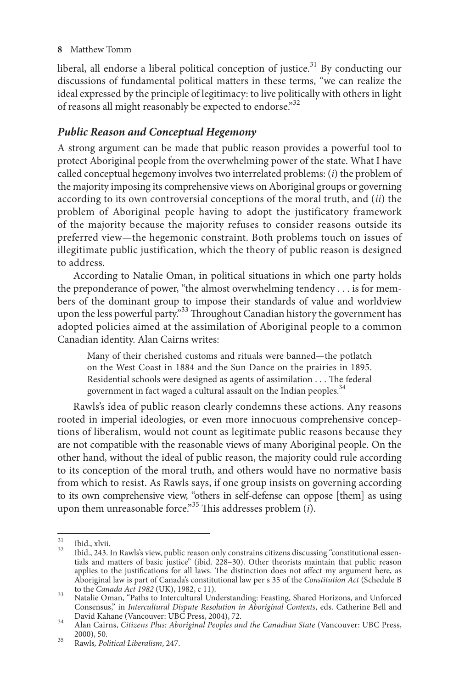liberal, all endorse a liberal political conception of justice. $31$  By conducting our discussions of fundamental political matters in these terms, "we can realize the ideal expressed by the principle of legitimacy: to live politically with others in light of reasons all might reasonably be expected to endorse."<sup>32</sup>

## *Public Reason and Conceptual Hegemony*

 A strong argument can be made that public reason provides a powerful tool to protect Aboriginal people from the overwhelming power of the state. What I have called conceptual hegemony involves two interrelated problems: (*i*) the problem of the majority imposing its comprehensive views on Aboriginal groups or governing according to its own controversial conceptions of the moral truth, and *(ii)* the problem of Aboriginal people having to adopt the justificatory framework of the majority because the majority refuses to consider reasons outside its preferred view—the hegemonic constraint. Both problems touch on issues of illegitimate public justification, which the theory of public reason is designed to address.

 According to Natalie Oman, in political situations in which one party holds the preponderance of power, "the almost overwhelming tendency . . . is for members of the dominant group to impose their standards of value and worldview upon the less powerful party."<sup>33</sup> Throughout Canadian history the government has adopted policies aimed at the assimilation of Aboriginal people to a common Canadian identity. Alan Cairns writes:

 Many of their cherished customs and rituals were banned—the potlatch on the West Coast in 1884 and the Sun Dance on the prairies in 1895. Residential schools were designed as agents of assimilation . . . The federal government in fact waged a cultural assault on the Indian peoples. 34

 Rawls's idea of public reason clearly condemns these actions. Any reasons rooted in imperial ideologies, or even more innocuous comprehensive conceptions of liberalism, would not count as legitimate public reasons because they are not compatible with the reasonable views of many Aboriginal people. On the other hand, without the ideal of public reason, the majority could rule according to its conception of the moral truth, and others would have no normative basis from which to resist. As Rawls says, if one group insists on governing according to its own comprehensive view, "others in self-defense can oppose [them] as using upon them unreasonable force.<sup>35</sup> This addresses problem  $(i)$ .

j 31 Ibid., xlvii.

Ì Ibid., 243. In Rawls's view, public reason only constrains citizens discussing "constitutional essentials and matters of basic justice" (ibid. 228–30). Other theorists maintain that public reason applies to the justifications for all laws. The distinction does not affect my argument here, as Aboriginal law is part of Canada's constitutional law per s 35 of the *Constitution Act* (Schedule B to the *Canada Act 1982* (UK), 1982, c 11).  $33 -$ 

<sup>33</sup> Natalie Oman, "Paths to Intercultural Understanding: Feasting, Shared Horizons, and Unforced Consensus," in *Intercultural Dispute Resolution in Aboriginal Contexts* , eds. Catherine Bell and David Kahane (Vancouver: UBC Press, 2004), 72.

<sup>34</sup> 34 Alan Cairns, *Citizens Plus: Aboriginal Peoples and the Canadian State* (Vancouver: UBC Press, 2000), 50.  $35 -$ 

<sup>35</sup> Rawls *, Political Liberalism* , 247.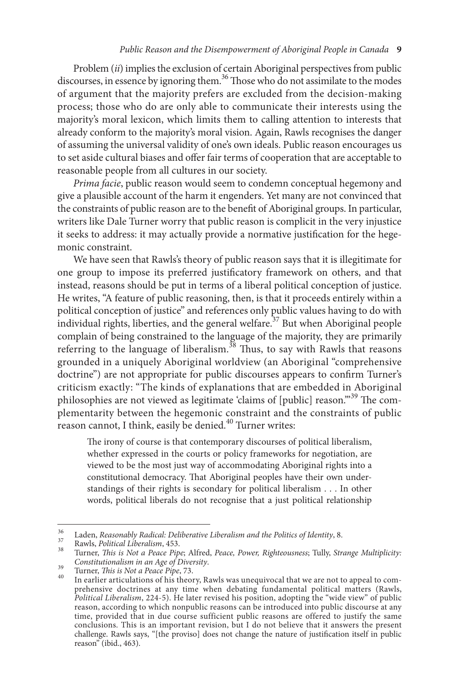Problem (*ii*) implies the exclusion of certain Aboriginal perspectives from public discourses, in essence by ignoring them.<sup>36</sup> Those who do not assimilate to the modes of argument that the majority prefers are excluded from the decision-making process; those who do are only able to communicate their interests using the majority's moral lexicon, which limits them to calling attention to interests that already conform to the majority's moral vision. Again, Rawls recognises the danger of assuming the universal validity of one's own ideals. Public reason encourages us to set aside cultural biases and offer fair terms of cooperation that are acceptable to reasonable people from all cultures in our society.

*Prima facie* , public reason would seem to condemn conceptual hegemony and give a plausible account of the harm it engenders. Yet many are not convinced that the constraints of public reason are to the benefit of Aboriginal groups. In particular, writers like Dale Turner worry that public reason is complicit in the very injustice it seeks to address: it may actually provide a normative justification for the hegemonic constraint.

 We have seen that Rawls's theory of public reason says that it is illegitimate for one group to impose its preferred justificatory framework on others, and that instead, reasons should be put in terms of a liberal political conception of justice. He writes, "A feature of public reasoning, then, is that it proceeds entirely within a political conception of justice" and references only public values having to do with individual rights, liberties, and the general welfare.<sup>37</sup> But when Aboriginal people complain of being constrained to the language of the majority, they are primarily referring to the language of liberalism.<sup>38</sup> Thus, to say with Rawls that reasons grounded in a uniquely Aboriginal worldview (an Aboriginal "comprehensive doctrine") are not appropriate for public discourses appears to confirm Turner's criticism exactly: "The kinds of explanations that are embedded in Aboriginal philosophies are not viewed as legitimate 'claims of [public] reason."<sup>39</sup> The complementarity between the hegemonic constraint and the constraints of public reason cannot, I think, easily be denied. $40$  Turner writes:

The irony of course is that contemporary discourses of political liberalism, whether expressed in the courts or policy frameworks for negotiation, are viewed to be the most just way of accommodating Aboriginal rights into a constitutional democracy. That Aboriginal peoples have their own understandings of their rights is secondary for political liberalism . . . In other words, political liberals do not recognise that a just political relationship

 $\frac{36}{37}$ 36 Laden, *Reasonably Radical: Deliberative Liberalism and the Politics of Identity* , 8.

j 37 Rawls, *Political Liberalism* , 453.

Ì Turner, *This is Not a Peace Pipe*; Alfred, *Peace*, *Power*, Righteousness; Tully, Strange Multiplicity: *Constitutionalism in an Age of Diversity* .

Ì <sup>39</sup> Turner, *This is Not a Peace Pipe*, 73.

í In earlier articulations of his theory, Rawls was unequivocal that we are not to appeal to comprehensive doctrines at any time when debating fundamental political matters (Rawls, *Political Liberalism*, 224-5). He later revised his position, adopting the "wide view" of public reason, according to which nonpublic reasons can be introduced into public discourse at any time, provided that in due course sufficient public reasons are offered to justify the same conclusions. This is an important revision, but I do not believe that it answers the present challenge. Rawls says, "[the proviso] does not change the nature of justification itself in public reason" (ibid., 463).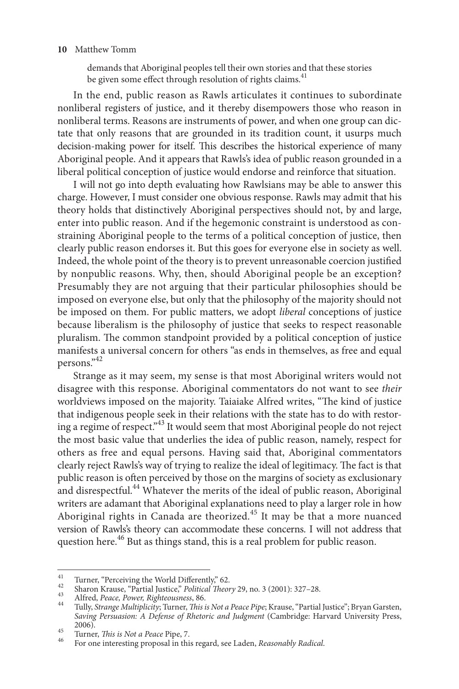demands that Aboriginal peoples tell their own stories and that these stories be given some effect through resolution of rights claims.<sup>41</sup>

 In the end, public reason as Rawls articulates it continues to subordinate nonliberal registers of justice, and it thereby disempowers those who reason in nonliberal terms. Reasons are instruments of power, and when one group can dictate that only reasons that are grounded in its tradition count, it usurps much decision-making power for itself. This describes the historical experience of many Aboriginal people. And it appears that Rawls's idea of public reason grounded in a liberal political conception of justice would endorse and reinforce that situation.

 I will not go into depth evaluating how Rawlsians may be able to answer this charge. However, I must consider one obvious response. Rawls may admit that his theory holds that distinctively Aboriginal perspectives should not, by and large, enter into public reason. And if the hegemonic constraint is understood as constraining Aboriginal people to the terms of a political conception of justice, then clearly public reason endorses it. But this goes for everyone else in society as well. Indeed, the whole point of the theory is to prevent unreasonable coercion justified by nonpublic reasons. Why, then, should Aboriginal people be an exception? Presumably they are not arguing that their particular philosophies should be imposed on everyone else, but only that the philosophy of the majority should not be imposed on them. For public matters, we adopt *liberal* conceptions of justice because liberalism is the philosophy of justice that seeks to respect reasonable pluralism. The common standpoint provided by a political conception of justice manifests a universal concern for others "as ends in themselves, as free and equal persons." 42

 Strange as it may seem, my sense is that most Aboriginal writers would not disagree with this response. Aboriginal commentators do not want to see *their* worldviews imposed on the majority. Taiaiake Alfred writes, "The kind of justice that indigenous people seek in their relations with the state has to do with restoring a regime of respect." 43 It would seem that most Aboriginal people do not reject the most basic value that underlies the idea of public reason, namely, respect for others as free and equal persons. Having said that, Aboriginal commentators clearly reject Rawls's way of trying to realize the ideal of legitimacy. The fact is that public reason is often perceived by those on the margins of society as exclusionary and disrespectful.<sup>44</sup> Whatever the merits of the ideal of public reason, Aboriginal writers are adamant that Aboriginal explanations need to play a larger role in how Aboriginal rights in Canada are theorized. 45 It may be that a more nuanced version of Rawls's theory can accommodate these concerns. I will not address that question here.<sup>46</sup> But as things stand, this is a real problem for public reason.

 $\frac{41}{42}$ Turner, "Perceiving the World Differently," 62.

<sup>43</sup> 42 Sharon Krause, "Partial Justice," *Political Th eory* 29, no. 3 (2001): 327–28.

í 43 Alfred, *Peace, Power, Righteousness* , 86.

í Tully, Strange Multiplicity; Turner, *This is Not a Peace Pipe*; Krause, "Partial Justice"; Bryan Garsten, *Saving Persuasion: A Defense of Rhetoric and Judgment* (Cambridge: Harvard University Press,  $2006$ ).

í 45 Turner, *This is Not a Peace Pipe*, 7.

í 46 For one interesting proposal in this regard, see Laden, *Reasonably Radical* .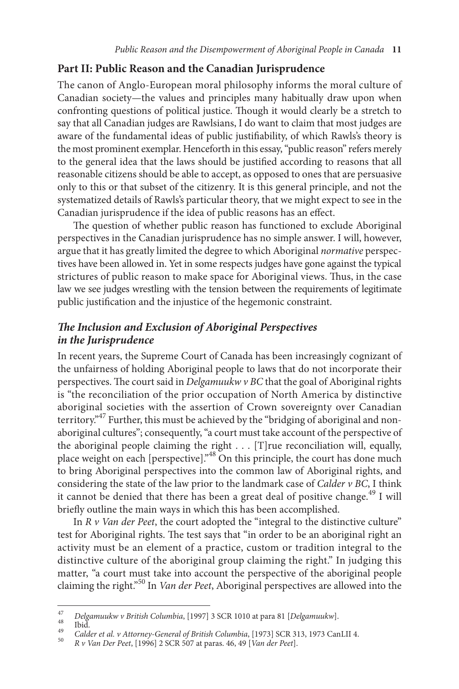## **Part II: Public Reason and the Canadian Jurisprudence**

 The canon of Anglo-European moral philosophy informs the moral culture of Canadian society—the values and principles many habitually draw upon when confronting questions of political justice. Though it would clearly be a stretch to say that all Canadian judges are Rawlsians, I do want to claim that most judges are aware of the fundamental ideas of public justifiability, of which Rawls's theory is the most prominent exemplar. Henceforth in this essay, "public reason" refers merely to the general idea that the laws should be justified according to reasons that all reasonable citizens should be able to accept, as opposed to ones that are persuasive only to this or that subset of the citizenry. It is this general principle, and not the systematized details of Rawls's particular theory, that we might expect to see in the Canadian jurisprudence if the idea of public reasons has an effect.

The question of whether public reason has functioned to exclude Aboriginal perspectives in the Canadian jurisprudence has no simple answer. I will, however, argue that it has greatly limited the degree to which Aboriginal *normative* perspectives have been allowed in. Yet in some respects judges have gone against the typical strictures of public reason to make space for Aboriginal views. Thus, in the case law we see judges wrestling with the tension between the requirements of legitimate public justification and the injustice of the hegemonic constraint.

## *The Inclusion and Exclusion of Aboriginal Perspectives in the Jurisprudence*

 In recent years, the Supreme Court of Canada has been increasingly cognizant of the unfairness of holding Aboriginal people to laws that do not incorporate their perspectives. The court said in *Delgamuukw v BC* that the goal of Aboriginal rights is "the reconciliation of the prior occupation of North America by distinctive aboriginal societies with the assertion of Crown sovereignty over Canadian territory.<sup>47</sup> Further, this must be achieved by the "bridging of aboriginal and nonaboriginal cultures"; consequently, "a court must take account of the perspective of the aboriginal people claiming the right . . . [T]rue reconciliation will, equally, place weight on each [perspective]."<sup>48</sup> On this principle, the court has done much to bring Aboriginal perspectives into the common law of Aboriginal rights, and considering the state of the law prior to the landmark case of *Calder v BC* , I think it cannot be denied that there has been a great deal of positive change.<sup>49</sup> I will briefly outline the main ways in which this has been accomplished.

In *R v Van der Peet*, the court adopted the "integral to the distinctive culture" test for Aboriginal rights. The test says that "in order to be an aboriginal right an activity must be an element of a practice, custom or tradition integral to the distinctive culture of the aboriginal group claiming the right." In judging this matter, "a court must take into account the perspective of the aboriginal people claiming the right." 50 In *Van der Peet* , Aboriginal perspectives are allowed into the

 $\frac{47}{48}$ 47 *Delgamuukw v British Columbia* , [1997] 3 SCR 1010 at para 81 [ *Delgamuukw* ].

<sup>49</sup> Ibid.

Î. 49 *Calder et al. v Attorney-General of British Columbia* , [1973] SCR 313, 1973 CanLII 4. Ĩ

<sup>50</sup> *R v Van Der Peet* , [1996] 2 SCR 507 at paras. 46, 49 [ *Van der Peet* ].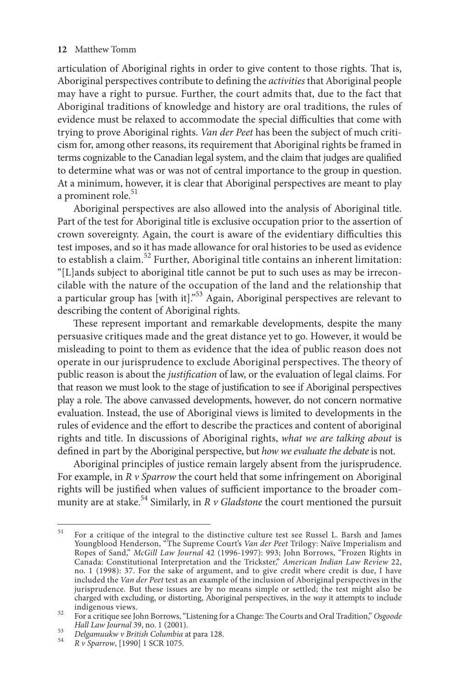articulation of Aboriginal rights in order to give content to those rights. That is, Aboriginal perspectives contribute to defining the *activities* that Aboriginal people may have a right to pursue. Further, the court admits that, due to the fact that Aboriginal traditions of knowledge and history are oral traditions, the rules of evidence must be relaxed to accommodate the special difficulties that come with trying to prove Aboriginal rights. *Van der Peet* has been the subject of much criticism for, among other reasons, its requirement that Aboriginal rights be framed in terms cognizable to the Canadian legal system, and the claim that judges are qualified to determine what was or was not of central importance to the group in question. At a minimum, however, it is clear that Aboriginal perspectives are meant to play a prominent role.<sup>51</sup>

 Aboriginal perspectives are also allowed into the analysis of Aboriginal title. Part of the test for Aboriginal title is exclusive occupation prior to the assertion of crown sovereignty. Again, the court is aware of the evidentiary difficulties this test imposes, and so it has made allowance for oral histories to be used as evidence to establish a claim.<sup>52</sup> Further, Aboriginal title contains an inherent limitation: "[L]ands subject to aboriginal title cannot be put to such uses as may be irreconcilable with the nature of the occupation of the land and the relationship that a particular group has [with it].<sup>53</sup> Again, Aboriginal perspectives are relevant to describing the content of Aboriginal rights.

These represent important and remarkable developments, despite the many persuasive critiques made and the great distance yet to go. However, it would be misleading to point to them as evidence that the idea of public reason does not operate in our jurisprudence to exclude Aboriginal perspectives. The theory of public reason is about the *justification* of law, or the evaluation of legal claims. For that reason we must look to the stage of justification to see if Aboriginal perspectives play a role. The above canvassed developments, however, do not concern normative evaluation. Instead, the use of Aboriginal views is limited to developments in the rules of evidence and the effort to describe the practices and content of aboriginal rights and title. In discussions of Aboriginal rights, *what we are talking about* is defined in part by the Aboriginal perspective, but *how we evaluate the debate* is not.

 Aboriginal principles of justice remain largely absent from the jurisprudence. For example, in *R v Sparrow* the court held that some infringement on Aboriginal rights will be justified when values of sufficient importance to the broader community are at stake.<sup>54</sup> Similarly, in *R v Gladstone* the court mentioned the pursuit

<sup>51</sup> 51 For a critique of the integral to the distinctive culture test see Russel L. Barsh and James Youngblood Henderson, "The Supreme Court's *Van der Peet* Trilogy: Naïve Imperialism and Ropes of Sand," *McGill Law Journal* 42 (1996-1997): 993; John Borrows, "Frozen Rights in Canada: Constitutional Interpretation and the Trickster," *American Indian Law Review* 22, no. 1 (1998): 37. For the sake of argument, and to give credit where credit is due, I have included the *Van der Peet* test as an example of the inclusion of Aboriginal perspectives in the jurisprudence. But these issues are by no means simple or settled; the test might also be charged with excluding, or distorting, Aboriginal perspectives, in the *way* it attempts to include indigenous views.

<sup>52</sup> For a critique see John Borrows, "Listening for a Change: The Courts and Oral Tradition," Osgoode *Hall Law Journal* 39, no. 1 (2001).

<sup>53</sup> *Delgamuukw v British Columbia* at para 128.

 54 *R v Sparrow* , [1990] 1 SCR 1075.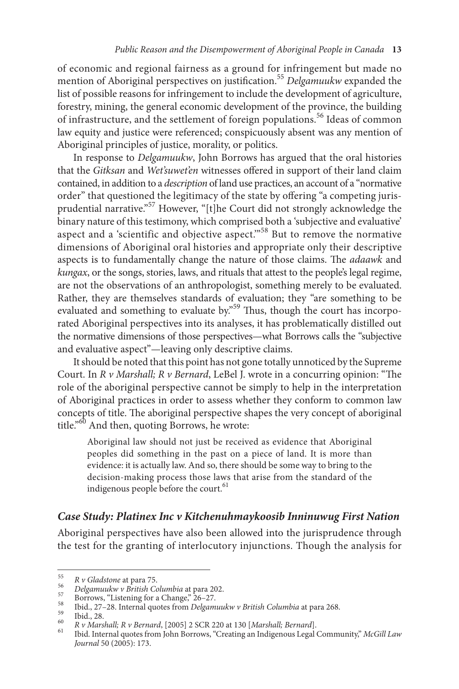of economic and regional fairness as a ground for infringement but made no mention of Aboriginal perspectives on justification.<sup>55</sup> *Delgamuukw* expanded the list of possible reasons for infringement to include the development of agriculture, forestry, mining, the general economic development of the province, the building of infrastructure, and the settlement of foreign populations. 56 Ideas of common law equity and justice were referenced; conspicuously absent was any mention of Aboriginal principles of justice, morality, or politics.

 In response to *Delgamuukw* , John Borrows has argued that the oral histories that the *Gitksan* and *Wet'suwet'en* witnesses offered in support of their land claim contained, in addition to a *description* of land use practices, an account of a "normative order" that questioned the legitimacy of the state by offering "a competing jurisprudential narrative."<sup>57</sup> However, "[t]he Court did not strongly acknowledge the binary nature of this testimony, which comprised both a 'subjective and evaluative' aspect and a 'scientific and objective aspect."<sup>58</sup> But to remove the normative dimensions of Aboriginal oral histories and appropriate only their descriptive aspects is to fundamentally change the nature of those claims. The *adaawk* and *kungax* , or the songs, stories, laws, and rituals that attest to the people's legal regime, are not the observations of an anthropologist, something merely to be evaluated. Rather, they are themselves standards of evaluation; they "are something to be evaluated and something to evaluate by.<sup>59</sup> Thus, though the court has incorporated Aboriginal perspectives into its analyses, it has problematically distilled out the normative dimensions of those perspectives—what Borrows calls the "subjective and evaluative aspect"—leaving only descriptive claims.

 It should be noted that this point has not gone totally unnoticed by the Supreme Court. In *R v Marshall; R v Bernard*, LeBel J. wrote in a concurring opinion: "The role of the aboriginal perspective cannot be simply to help in the interpretation of Aboriginal practices in order to assess whether they conform to common law concepts of title. The aboriginal perspective shapes the very concept of aboriginal title."<sup>60</sup> And then, quoting Borrows, he wrote:

 Aboriginal law should not just be received as evidence that Aboriginal peoples did something in the past on a piece of land. It is more than evidence: it is actually law. And so, there should be some way to bring to the decision-making process those laws that arise from the standard of the indigenous people before the court.<sup>61</sup>

## *Case Study: Platinex Inc v Kitchenuhmaykoosib Inninuwug First Nation*

 Aboriginal perspectives have also been allowed into the jurisprudence through the test for the granting of interlocutory injunctions. Though the analysis for

<sup>55&</sup>lt;br>56 55 *R v Gladstone* at para 75.

<sup>57</sup> 56 *Delgamuukw v British Columbia* at para 202.

<sup>58</sup>  $\frac{57}{10}$  Borrows, "Listening for a Change," 26–27.

<sup>59</sup> 58 Ibid., 27–28. Internal quotes from *Delgamuukw v British Columbia* at para 268.

<sup>60</sup> Ibid., 28.

<sup>.</sup> 60 *R v Marshall; R v Bernard* , [2005] 2 SCR 220 at 130 [ *Marshall; Bernard* ].

Ĩ 61 Ibid. Internal quotes from John Borrows, "Creating an Indigenous Legal Community," *McGill Law Journal* 50 (2005): 173.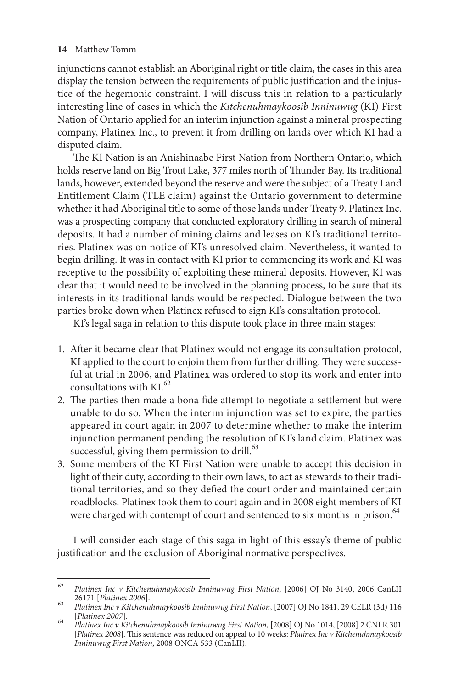injunctions cannot establish an Aboriginal right or title claim, the cases in this area display the tension between the requirements of public justification and the injustice of the hegemonic constraint. I will discuss this in relation to a particularly interesting line of cases in which the *Kitchenuhmaykoosib Inninuwug* (KI) First Nation of Ontario applied for an interim injunction against a mineral prospecting company, Platinex Inc., to prevent it from drilling on lands over which KI had a disputed claim.

The KI Nation is an Anishinaabe First Nation from Northern Ontario, which holds reserve land on Big Trout Lake, 377 miles north of Thunder Bay. Its traditional lands, however, extended beyond the reserve and were the subject of a Treaty Land Entitlement Claim (TLE claim) against the Ontario government to determine whether it had Aboriginal title to some of those lands under Treaty 9. Platinex Inc. was a prospecting company that conducted exploratory drilling in search of mineral deposits. It had a number of mining claims and leases on KI's traditional territories. Platinex was on notice of KI's unresolved claim. Nevertheless, it wanted to begin drilling. It was in contact with KI prior to commencing its work and KI was receptive to the possibility of exploiting these mineral deposits. However, KI was clear that it would need to be involved in the planning process, to be sure that its interests in its traditional lands would be respected. Dialogue between the two parties broke down when Platinex refused to sign KI's consultation protocol.

KI's legal saga in relation to this dispute took place in three main stages:

- 1. After it became clear that Platinex would not engage its consultation protocol, KI applied to the court to enjoin them from further drilling. They were successful at trial in 2006, and Platinex was ordered to stop its work and enter into consultations with KI. 62
- 2. The parties then made a bona fide attempt to negotiate a settlement but were unable to do so. When the interim injunction was set to expire, the parties appeared in court again in 2007 to determine whether to make the interim injunction permanent pending the resolution of KI's land claim. Platinex was successful, giving them permission to drill. $^{63}$
- 3. Some members of the KI First Nation were unable to accept this decision in light of their duty, according to their own laws, to act as stewards to their traditional territories, and so they defied the court order and maintained certain roadblocks. Platinex took them to court again and in 2008 eight members of KI were charged with contempt of court and sentenced to six months in prison.<sup>64</sup>

 I will consider each stage of this saga in light of this essay's theme of public justification and the exclusion of Aboriginal normative perspectives.

<sup>62</sup> 62 *Platinex Inc v Kitchenuhmaykoosib Inninuwug First Nation* , [2006] OJ No 3140, 2006 CanLII 26171 [ *Platinex 2006* ]. 63

<sup>63</sup> *Platinex Inc v Kitchenuhmaykoosib Inninuwug First Nation* , [2007] OJ No 1841, 29 CELR (3d) 116 [ *Platinex 2007* ]. 64

<sup>64</sup> *Platinex Inc v Kitchenuhmaykoosib Inninuwug First Nation* , [2008] OJ No 1014, [2008] 2 CNLR 301 [Platinex 2008]. This sentence was reduced on appeal to 10 weeks: Platinex Inc v Kitchenuhmaykoosib *Inninuwug First Nation* , 2008 ONCA 533 (CanLII).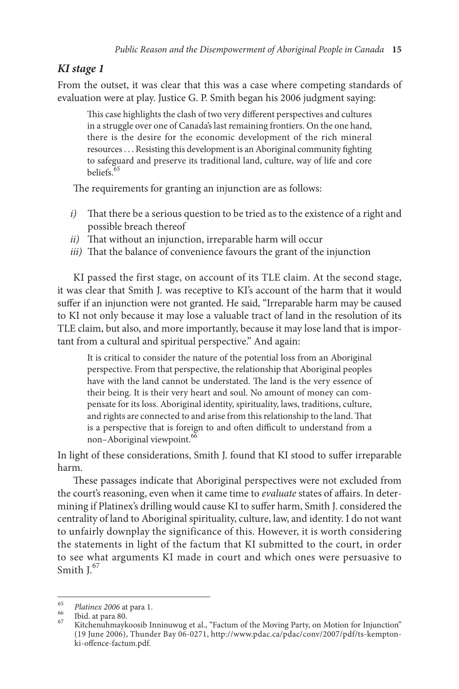## *KI stage 1*

 From the outset, it was clear that this was a case where competing standards of evaluation were at play. Justice G. P. Smith began his 2006 judgment saying:

This case highlights the clash of two very different perspectives and cultures in a struggle over one of Canada's last remaining frontiers. On the one hand, there is the desire for the economic development of the rich mineral resources . . . Resisting this development is an Aboriginal community fighting to safeguard and preserve its traditional land, culture, way of life and core beliefs.

The requirements for granting an injunction are as follows:

- *i*) That there be a serious question to be tried as to the existence of a right and possible breach thereof
- *ii*) That without an injunction, irreparable harm will occur
- *iii*) That the balance of convenience favours the grant of the injunction

 KI passed the first stage, on account of its TLE claim. At the second stage, it was clear that Smith J. was receptive to KI's account of the harm that it would suffer if an injunction were not granted. He said, "Irreparable harm may be caused to KI not only because it may lose a valuable tract of land in the resolution of its TLE claim, but also, and more importantly, because it may lose land that is important from a cultural and spiritual perspective." And again:

 It is critical to consider the nature of the potential loss from an Aboriginal perspective. From that perspective, the relationship that Aboriginal peoples have with the land cannot be understated. The land is the very essence of their being. It is their very heart and soul. No amount of money can compensate for its loss. Aboriginal identity, spirituality, laws, traditions, culture, and rights are connected to and arise from this relationship to the land. That is a perspective that is foreign to and often difficult to understand from a non–Aboriginal viewpoint. 66

In light of these considerations, Smith J. found that KI stood to suffer irreparable harm.

These passages indicate that Aboriginal perspectives were not excluded from the court's reasoning, even when it came time to *evaluate* states of affairs. In determining if Platinex's drilling would cause KI to suffer harm, Smith J. considered the centrality of land to Aboriginal spirituality, culture, law, and identity. I do not want to unfairly downplay the significance of this. However, it is worth considering the statements in light of the factum that KI submitted to the court, in order to see what arguments KI made in court and which ones were persuasive to Smith  $I^{67}$ 

<sup>65&</sup>lt;br>66 Platinex 2006 at para 1.

۱. Ibid. at para 80.

ŗ Kitchenuhmaykoosib Inninuwug et al., "Factum of the Moving Party, on Motion for Injunction" (19 June 2006), Thunder Bay 06-0271, http://www.pdac.ca/pdac/conv/2007/pdf/ts-kemptonki-offence-factum.pdf.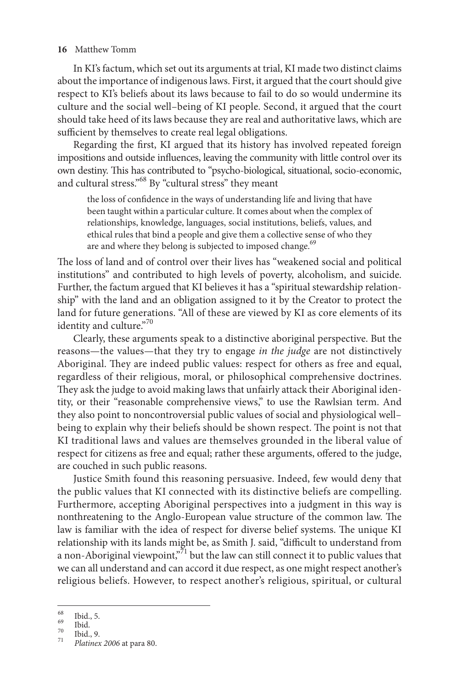In KI's factum, which set out its arguments at trial, KI made two distinct claims about the importance of indigenous laws. First, it argued that the court should give respect to KI's beliefs about its laws because to fail to do so would undermine its culture and the social well–being of KI people. Second, it argued that the court should take heed of its laws because they are real and authoritative laws, which are sufficient by themselves to create real legal obligations.

Regarding the first, KI argued that its history has involved repeated foreign impositions and outside influences, leaving the community with little control over its own destiny. This has contributed to "psycho-biological, situational, socio-economic, and cultural stress."<sup>68</sup> By "cultural stress" they meant

the loss of confidence in the ways of understanding life and living that have been taught within a particular culture. It comes about when the complex of relationships, knowledge, languages, social institutions, beliefs, values, and ethical rules that bind a people and give them a collective sense of who they are and where they belong is subjected to imposed change.<sup>69</sup>

The loss of land and of control over their lives has "weakened social and political institutions" and contributed to high levels of poverty, alcoholism, and suicide. Further, the factum argued that KI believes it has a "spiritual stewardship relationship" with the land and an obligation assigned to it by the Creator to protect the land for future generations. "All of these are viewed by KI as core elements of its identity and culture."<sup>70</sup>

 Clearly, these arguments speak to a distinctive aboriginal perspective. But the reasons—the values—that they try to engage *in the judge* are not distinctively Aboriginal. They are indeed public values: respect for others as free and equal, regardless of their religious, moral, or philosophical comprehensive doctrines. They ask the judge to avoid making laws that unfairly attack their Aboriginal identity, or their "reasonable comprehensive views," to use the Rawlsian term. And they also point to noncontroversial public values of social and physiological well– being to explain why their beliefs should be shown respect. The point is not that KI traditional laws and values are themselves grounded in the liberal value of respect for citizens as free and equal; rather these arguments, offered to the judge, are couched in such public reasons.

 Justice Smith found this reasoning persuasive. Indeed, few would deny that the public values that KI connected with its distinctive beliefs are compelling. Furthermore, accepting Aboriginal perspectives into a judgment in this way is nonthreatening to the Anglo-European value structure of the common law. The law is familiar with the idea of respect for diverse belief systems. The unique KI relationship with its lands might be, as Smith J. said, "difficult to understand from a non-Aboriginal viewpoint,"<sup>71</sup> but the law can still connect it to public values that we can all understand and can accord it due respect, as one might respect another's religious beliefs. However, to respect another's religious, spiritual, or cultural

<sup>68&</sup>lt;br>69 Ibid., 5.

۱. Ibid.

Ibid., 9. 71

Platinex 2006 at para 80.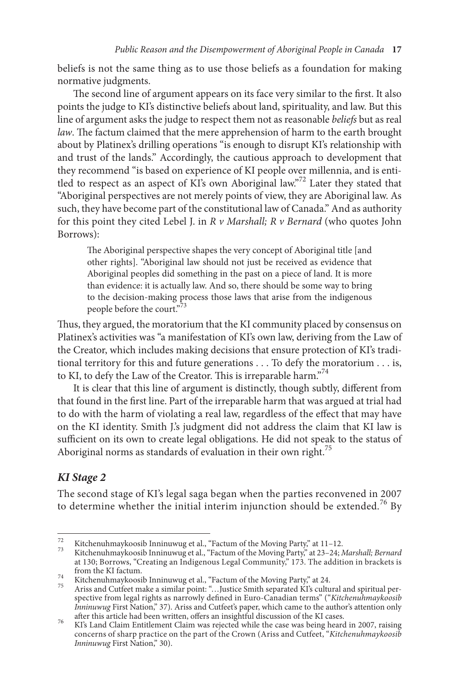beliefs is not the same thing as to use those beliefs as a foundation for making normative judgments.

The second line of argument appears on its face very similar to the first. It also points the judge to KI's distinctive beliefs about land, spirituality, and law. But this line of argument asks the judge to respect them not as reasonable *beliefs* but as real *law*. The factum claimed that the mere apprehension of harm to the earth brought about by Platinex's drilling operations "is enough to disrupt KI's relationship with and trust of the lands." Accordingly, the cautious approach to development that they recommend "is based on experience of KI people over millennia, and is entitled to respect as an aspect of KI's own Aboriginal law.<sup>772</sup> Later they stated that "Aboriginal perspectives are not merely points of view, they are Aboriginal law. As such, they have become part of the constitutional law of Canada." And as authority for this point they cited Lebel J. in *R v Marshall; R v Bernard* (who quotes John Borrows):

The Aboriginal perspective shapes the very concept of Aboriginal title [and other rights]. "Aboriginal law should not just be received as evidence that Aboriginal peoples did something in the past on a piece of land. It is more than evidence: it is actually law. And so, there should be some way to bring to the decision-making process those laws that arise from the indigenous people before the court."<sup>7</sup>

Thus, they argued, the moratorium that the KI community placed by consensus on Platinex's activities was "a manifestation of KI's own law, deriving from the Law of the Creator, which includes making decisions that ensure protection of KI's traditional territory for this and future generations . . . To defy the moratorium . . . is, to KI, to defy the Law of the Creator. This is irreparable harm.<sup>74</sup>

It is clear that this line of argument is distinctly, though subtly, different from that found in the first line. Part of the irreparable harm that was argued at trial had to do with the harm of violating a real law, regardless of the effect that may have on the KI identity. Smith J.'s judgment did not address the claim that KI law is sufficient on its own to create legal obligations. He did not speak to the status of Aboriginal norms as standards of evaluation in their own right. 75

## *KI Stage 2*

 The second stage of KI's legal saga began when the parties reconvened in 2007 to determine whether the initial interim injunction should be extended.<sup>76</sup> By

j <sup>72</sup> Kitchenuhmaykoosib Inninuwug et al., "Factum of the Moving Party," at  $11-12$ .

j 73 Kitchenuhmaykoosib Inninuwug et al., "Factum of the Moving Party," at 23–24; *Marshall; Bernard* at 130; Borrows, "Creating an Indigenous Legal Community," 173. The addition in brackets is from the KI factum.

 $74$  Kitchenuhmaykoosib Inninuwug et al., "Factum of the Moving Party," at 24.

j  $75$  Ariss and Cutfeet make a similar point: "...Justice Smith separated KI's cultural and spiritual perspective from legal rights as narrowly defined in Euro-Canadian terms" ("Kitchenuhmaykoosib *Inninuwug* First Nation," 37). Ariss and Cutfeet's paper, which came to the author's attention only after this article had been written, offers an insightful discussion of the KI cases.

<sup>76</sup> 76 KI's Land Claim Entitlement Claim was rejected while the case was being heard in 2007, raising concerns of sharp practice on the part of the Crown (Ariss and Cutfeet, " *Kitchenuhmaykoosib Inninuwug* First Nation," 30).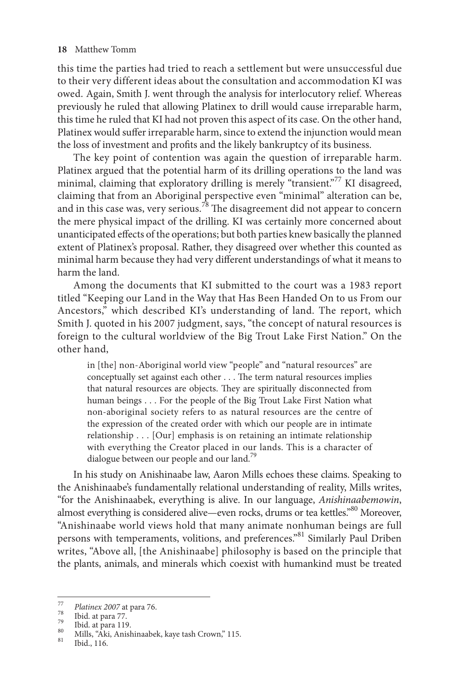this time the parties had tried to reach a settlement but were unsuccessful due to their very different ideas about the consultation and accommodation KI was owed. Again, Smith J. went through the analysis for interlocutory relief. Whereas previously he ruled that allowing Platinex to drill would cause irreparable harm, this time he ruled that KI had not proven this aspect of its case. On the other hand, Platinex would suffer irreparable harm, since to extend the injunction would mean the loss of investment and profits and the likely bankruptcy of its business.

 The key point of contention was again the question of irreparable harm. Platinex argued that the potential harm of its drilling operations to the land was minimal, claiming that exploratory drilling is merely "transient."<sup>77</sup> KI disagreed, claiming that from an Aboriginal perspective even "minimal" alteration can be, and in this case was, very serious.<sup>78</sup> The disagreement did not appear to concern the mere physical impact of the drilling. KI was certainly more concerned about unanticipated effects of the operations; but both parties knew basically the planned extent of Platinex's proposal. Rather, they disagreed over whether this counted as minimal harm because they had very different understandings of what it means to harm the land.

 Among the documents that KI submitted to the court was a 1983 report titled "Keeping our Land in the Way that Has Been Handed On to us From our Ancestors," which described KI's understanding of land. The report, which Smith J. quoted in his 2007 judgment, says, "the concept of natural resources is foreign to the cultural worldview of the Big Trout Lake First Nation." On the other hand,

 in [the] non-Aboriginal world view "people" and "natural resources" are conceptually set against each other . . . The term natural resources implies that natural resources are objects. They are spiritually disconnected from human beings . . . For the people of the Big Trout Lake First Nation what non-aboriginal society refers to as natural resources are the centre of the expression of the created order with which our people are in intimate relationship . . . [Our] emphasis is on retaining an intimate relationship with everything the Creator placed in our lands. This is a character of dialogue between our people and our land.<sup>79</sup>

 In his study on Anishinaabe law, Aaron Mills echoes these claims. Speaking to the Anishinaabe's fundamentally relational understanding of reality, Mills writes, "for the Anishinaabek, everything is alive. In our language, *Anishinaabemowin* , almost everything is considered alive—even rocks, drums or tea kettles."<sup>80</sup> Moreover, "Anishinaabe world views hold that many animate nonhuman beings are full persons with temperaments, volitions, and preferences.<sup>81</sup> Similarly Paul Driben writes, "Above all, [the Anishinaabe] philosophy is based on the principle that the plants, animals, and minerals which coexist with humankind must be treated

<sup>77&</sup>lt;br>78 Platinex 2007 at para 76.

<sup>79</sup> Ibid. at para 77.

<sup>80</sup> Ibid. at para 119.

 $\overline{a}$ 80 Mills, "Aki, Anishinaabek, kaye tash Crown," 115.

ľ Ibid., 116.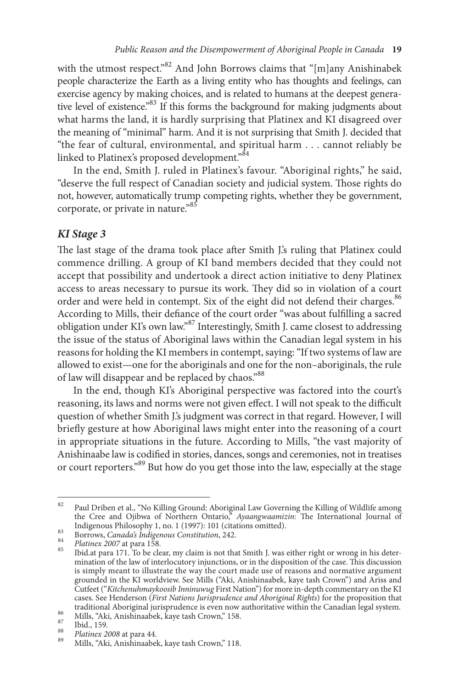with the utmost respect."<sup>82</sup> And John Borrows claims that "[m]any Anishinabek people characterize the Earth as a living entity who has thoughts and feelings, can exercise agency by making choices, and is related to humans at the deepest generative level of existence.<sup>83</sup> If this forms the background for making judgments about what harms the land, it is hardly surprising that Platinex and KI disagreed over the meaning of "minimal" harm. And it is not surprising that Smith J. decided that "the fear of cultural, environmental, and spiritual harm . . . cannot reliably be linked to Platinex's proposed development.<sup>84</sup>

 In the end, Smith J. ruled in Platinex's favour. "Aboriginal rights," he said, "deserve the full respect of Canadian society and judicial system. Those rights do not, however, automatically trump competing rights, whether they be government, corporate, or private in nature.<sup>85</sup>

## *KI Stage 3*

The last stage of the drama took place after Smith J's ruling that Platinex could commence drilling. A group of KI band members decided that they could not accept that possibility and undertook a direct action initiative to deny Platinex access to areas necessary to pursue its work. They did so in violation of a court order and were held in contempt. Six of the eight did not defend their charges.<sup>86</sup> According to Mills, their defiance of the court order "was about fulfilling a sacred obligation under KI's own law."<sup>87</sup> Interestingly, Smith J. came closest to addressing the issue of the status of Aboriginal laws within the Canadian legal system in his reasons for holding the KI members in contempt, saying: "If two systems of law are allowed to exist—one for the aboriginals and one for the non–aboriginals, the rule of law will disappear and be replaced by chaos."<sup>88</sup>

 In the end, though KI's Aboriginal perspective was factored into the court's reasoning, its laws and norms were not given effect. I will not speak to the difficult question of whether Smith J.'s judgment was correct in that regard. However, I will briefly gesture at how Aboriginal laws might enter into the reasoning of a court in appropriate situations in the future. According to Mills, "the vast majority of Anishinaabe law is codified in stories, dances, songs and ceremonies, not in treatises or court reporters.<sup>89</sup> But how do you get those into the law, especially at the stage

<sup>82</sup> 82 Paul Driben et al., "No Killing Ground: Aboriginal Law Governing the Killing of Wildlife among the Cree and Ojibwa of Northern Ontario," Ayaangwaamizin: The International Journal of Indigenous Philosophy 1, no. 1 (1997): 101 (citations omitted).

<sup>83&</sup>lt;br>84 83 Borrows, *Canada's Indigenous Constitution* , 242.

j 84 *Platinex 2007* at para 158.

ľ 85 Ibid.at para 171. To be clear, my claim is not that Smith J. was either right or wrong in his determination of the law of interlocutory injunctions, or in the disposition of the case. This discussion is simply meant to illustrate the way the court made use of reasons and normative argument grounded in the KI worldview. See Mills ("Aki, Anishinaabek, kaye tash Crown") and Ariss and Cutfeet (" *Kitchenuhmaykoosib Inninuwug* First Nation") for more in-depth commentary on the KI cases. See Henderson ( *First Nations Jurisprudence and Aboriginal Rights* ) for the proposition that traditional Aboriginal jurisprudence is even now authoritative within the Canadian legal system.

 $\frac{86}{87}$ 86 Mills, "Aki, Anishinaabek, kaye tash Crown," 158.

Ibid., 159.

<sup>88</sup>  $\overline{a}$ Platinex 2008 at para 44.

ľ 89 Mills, "Aki, Anishinaabek, kaye tash Crown," 118.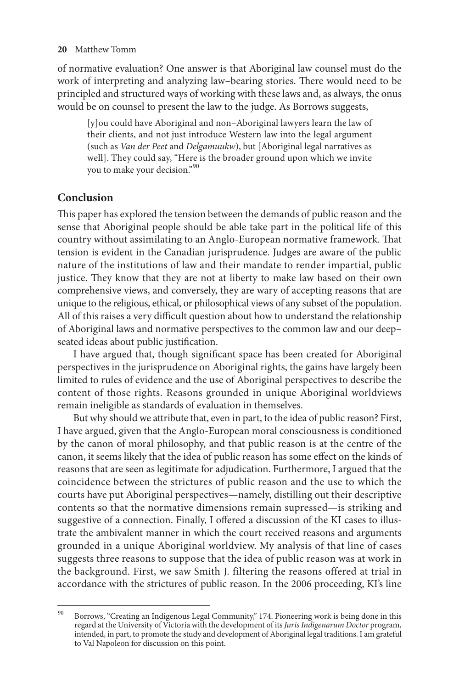of normative evaluation? One answer is that Aboriginal law counsel must do the work of interpreting and analyzing law-bearing stories. There would need to be principled and structured ways of working with these laws and, as always, the onus would be on counsel to present the law to the judge. As Borrows suggests,

 [y]ou could have Aboriginal and non–Aboriginal lawyers learn the law of their clients, and not just introduce Western law into the legal argument (such as *Van der Peet* and *Delgamuukw* ), but [Aboriginal legal narratives as well]. They could say, "Here is the broader ground upon which we invite you to make your decision."90

## **Conclusion**

This paper has explored the tension between the demands of public reason and the sense that Aboriginal people should be able take part in the political life of this country without assimilating to an Anglo-European normative framework. That tension is evident in the Canadian jurisprudence. Judges are aware of the public nature of the institutions of law and their mandate to render impartial, public justice. They know that they are not at liberty to make law based on their own comprehensive views, and conversely, they are wary of accepting reasons that are unique to the religious, ethical, or philosophical views of any subset of the population. All of this raises a very difficult question about how to understand the relationship of Aboriginal laws and normative perspectives to the common law and our deep– seated ideas about public justification.

I have argued that, though significant space has been created for Aboriginal perspectives in the jurisprudence on Aboriginal rights, the gains have largely been limited to rules of evidence and the use of Aboriginal perspectives to describe the content of those rights. Reasons grounded in unique Aboriginal worldviews remain ineligible as standards of evaluation in themselves.

 But why should we attribute that, even in part, to the idea of public reason? First, I have argued, given that the Anglo-European moral consciousness is conditioned by the canon of moral philosophy, and that public reason is at the centre of the canon, it seems likely that the idea of public reason has some effect on the kinds of reasons that are seen as legitimate for adjudication. Furthermore, I argued that the coincidence between the strictures of public reason and the use to which the courts have put Aboriginal perspectives—namely, distilling out their descriptive contents so that the normative dimensions remain supressed—is striking and suggestive of a connection. Finally, I offered a discussion of the KI cases to illustrate the ambivalent manner in which the court received reasons and arguments grounded in a unique Aboriginal worldview. My analysis of that line of cases suggests three reasons to suppose that the idea of public reason was at work in the background. First, we saw Smith J. filtering the reasons offered at trial in accordance with the strictures of public reason. In the 2006 proceeding, KI's line

<sup>90</sup> Borrows, "Creating an Indigenous Legal Community," 174. Pioneering work is being done in this regard at the University of Victoria with the development of its *Juris Indigenarum Doctor* program, intended, in part, to promote the study and development of Aboriginal legal traditions. I am grateful to Val Napoleon for discussion on this point.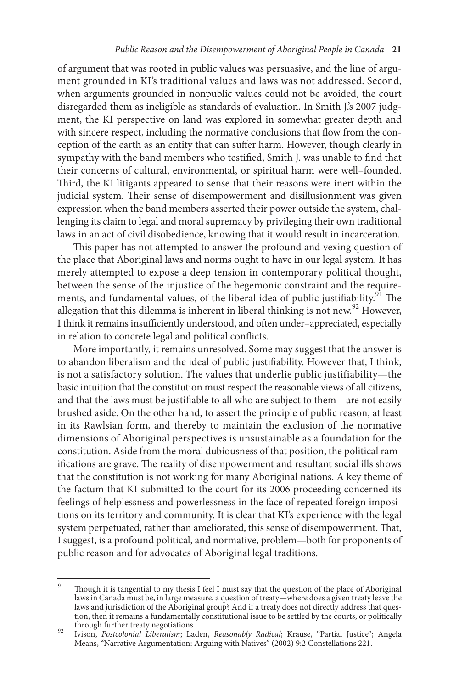of argument that was rooted in public values was persuasive, and the line of argument grounded in KI's traditional values and laws was not addressed. Second, when arguments grounded in nonpublic values could not be avoided, the court disregarded them as ineligible as standards of evaluation. In Smith J.'s 2007 judgment, the KI perspective on land was explored in somewhat greater depth and with sincere respect, including the normative conclusions that flow from the conception of the earth as an entity that can suffer harm. However, though clearly in sympathy with the band members who testified, Smith J. was unable to find that their concerns of cultural, environmental, or spiritual harm were well–founded. Third, the KI litigants appeared to sense that their reasons were inert within the judicial system. Their sense of disempowerment and disillusionment was given expression when the band members asserted their power outside the system, challenging its claim to legal and moral supremacy by privileging their own traditional laws in an act of civil disobedience, knowing that it would result in incarceration.

This paper has not attempted to answer the profound and vexing question of the place that Aboriginal laws and norms ought to have in our legal system. It has merely attempted to expose a deep tension in contemporary political thought, between the sense of the injustice of the hegemonic constraint and the requirements, and fundamental values, of the liberal idea of public justifiability.<sup>91</sup> The allegation that this dilemma is inherent in liberal thinking is not new. 92 However, I think it remains insufficiently understood, and often under–appreciated, especially in relation to concrete legal and political conflicts.

 More importantly, it remains unresolved. Some may suggest that the answer is to abandon liberalism and the ideal of public justifiability. However that, I think, is not a satisfactory solution. The values that underlie public justifiability—the basic intuition that the constitution must respect the reasonable views of all citizens, and that the laws must be justifiable to all who are subject to them—are not easily brushed aside. On the other hand, to assert the principle of public reason, at least in its Rawlsian form, and thereby to maintain the exclusion of the normative dimensions of Aboriginal perspectives is unsustainable as a foundation for the constitution. Aside from the moral dubiousness of that position, the political ramifications are grave. The reality of disempowerment and resultant social ills shows that the constitution is not working for many Aboriginal nations. A key theme of the factum that KI submitted to the court for its 2006 proceeding concerned its feelings of helplessness and powerlessness in the face of repeated foreign impositions on its territory and community. It is clear that KI's experience with the legal system perpetuated, rather than ameliorated, this sense of disempowerment. That, I suggest, is a profound political, and normative, problem—both for proponents of public reason and for advocates of Aboriginal legal traditions.

<sup>91</sup> Though it is tangential to my thesis I feel I must say that the question of the place of Aboriginal laws in Canada must be, in large measure, a question of treaty—where does a given treaty leave the laws and jurisdiction of the Aboriginal group? And if a treaty does not directly address that question, then it remains a fundamentally constitutional issue to be settled by the courts, or politically through further treaty negotiations.

<sup>92</sup> Ivison, Postcolonial Liberalism; Laden, Reasonably Radical; Krause, "Partial Justice"; Angela Means, "Narrative Argumentation: Arguing with Natives" (2002) 9:2 Constellations 221.